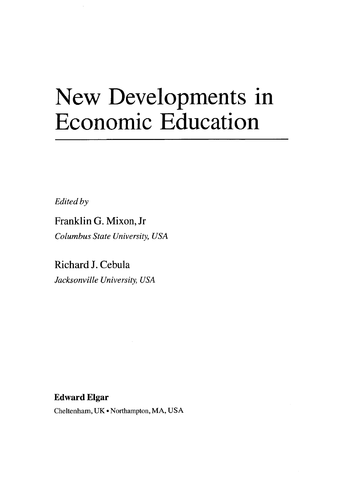## New Developments in Economic Education

*Edited by* 

Franklin G. Mixon, Jr *Columbus State University, USA* 

Richard J. Cebula *Jacksonville University, USA* 

## Edward Elgar

Cheltenham, UK • Northampton, MA, USA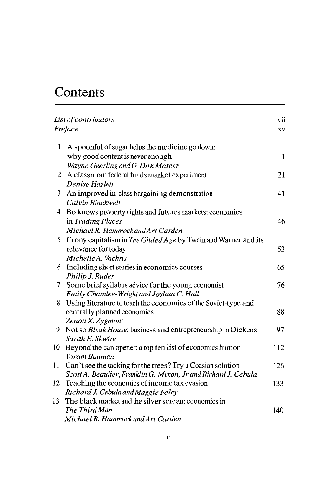## Contents

| List of contributors<br>Preface |                                                                                               | vii<br>XV |
|---------------------------------|-----------------------------------------------------------------------------------------------|-----------|
| 1                               | A spoonful of sugar helps the medicine go down:<br>why good content is never enough           | 1         |
|                                 | Wayne Geerling and G. Dirk Mateer                                                             |           |
| 2                               | A classroom federal funds market experiment                                                   | 21        |
|                                 | Denise Hazlett                                                                                |           |
| 3                               | An improved in-class bargaining demonstration                                                 | 41        |
|                                 | Calvin Blackwell                                                                              |           |
|                                 | 4 Bo knows property rights and futures markets: economics                                     |           |
|                                 | in Trading Places                                                                             | 46        |
|                                 | Michael R. Hammock and Art Carden                                                             |           |
| 5                               | Crony capitalism in The Gilded Age by Twain and Warner and its                                |           |
|                                 | relevance for today                                                                           | 53        |
|                                 | Michelle A. Vachris                                                                           |           |
| 6                               | Including short stories in economics courses                                                  | 65        |
|                                 | Philip J. Ruder                                                                               |           |
| 7                               | Some brief syllabus advice for the young economist                                            | 76        |
|                                 | Emily Chamlee-Wright and Joshua C. Hall                                                       |           |
| 8                               | Using literature to teach the economics of the Soviet-type and<br>centrally planned economies | 88        |
|                                 | Zenon X. Zygmont                                                                              |           |
| 9.                              | Not so Bleak House: business and entrepreneurship in Dickens                                  | 97        |
|                                 | Sarah E. Skwire                                                                               |           |
| 10                              | Beyond the can opener: a top ten list of economics humor                                      | 112       |
|                                 | Yoram Bauman                                                                                  |           |
| 11                              | Can't see the tacking for the trees? Try a Coasian solution                                   | 126       |
|                                 | Scott A. Beaulier, Franklin G. Mixon, Jr and Richard J. Cebula                                |           |
| 12                              | Teaching the economics of income tax evasion                                                  | 133       |
|                                 | Richard J. Cebula and Maggie Foley                                                            |           |
| 13                              | The black market and the silver screen: economics in                                          |           |
|                                 | The Third Man                                                                                 | 140       |
|                                 | Michael R. Hammock and Art Carden                                                             |           |